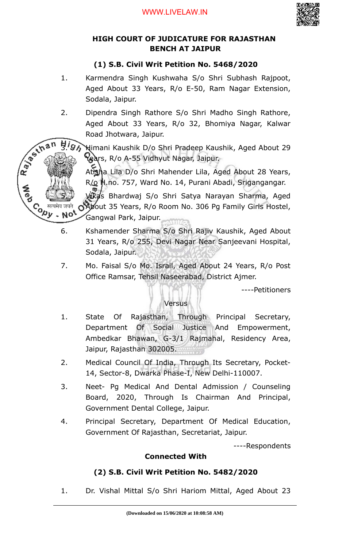

## **HIGH COURT OF JUDICATURE FOR RAJASTHAN BENCH AT JAIPUR**

# **(1) S.B. Civil Writ Petition No. 5468/2020**

- 1. Karmendra Singh Kushwaha S/o Shri Subhash Rajpoot, Aged About 33 Years, R/o E-50, Ram Nagar Extension, Sodala, Jaipur.
- 2. Dipendra Singh Rathore S/o Shri Madho Singh Rathore, Aged About 33 Years, R/o 32, Bhomiya Nagar, Kalwar Road Jhotwara, Jaipur.

Ray of thi

Co सत्यमेव जयते<br>Version Note

BIG Nimani Kaushik D/o Shri Pradeep Kaushik, Aged About 29 Years, R/o A-55 Vidhyut Nagar, Jaipur.

> Atisha Lila D/o Shri Mahender Lila, Aged About 28 Years, R/o H.no. 757, Ward No. 14, Purani Abadi, Srigangangar.

5. Vikas Bhardwaj S/o Shri Satya Narayan Sharma, Aged About 35 Years, R/o Room No. 306 Pg Family Girls Hostel, Gangwal Park, Jaipur.

- 6. Kshamender Sharma S/o Shri Rajiv Kaushik, Aged About 31 Years, R/o 255, Devi Nagar Near Sanjeevani Hospital, Sodala, Jaipur.
- 7. Mo. Faisal S/o Mo. Israil, Aged About 24 Years, R/o Post Office Ramsar, Tehsil Naseerabad, District Ajmer.

----Petitioners

## **Versus**

- 1. State Of Rajasthan, Through Principal Secretary, Department Of Social Justice And Empowerment, Ambedkar Bhawan, G-3/1 Rajmahal, Residency Area, Jaipur, Rajasthan 302005.
- 2. Medical Council Of India, Through Its Secretary, Pocket-14, Sector-8, Dwarka Phase-I, New Delhi-110007.
- 3. Neet- Pg Medical And Dental Admission / Counseling Board, 2020, Through Is Chairman And Principal, Government Dental College, Jaipur.
- 4. Principal Secretary, Department Of Medical Education, Government Of Rajasthan, Secretariat, Jaipur.

----Respondents

## **Connected With**

## **(2) S.B. Civil Writ Petition No. 5482/2020**

1. Dr. Vishal Mittal S/o Shri Hariom Mittal, Aged About 23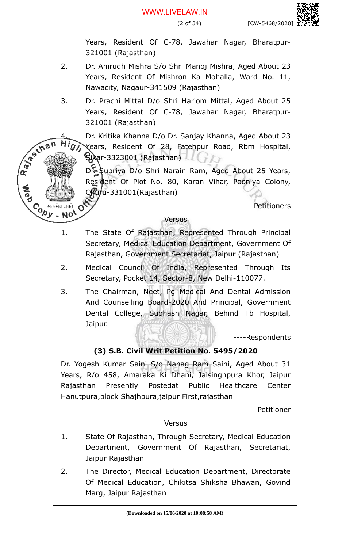Years, Resident Of C-78, Jawahar Nagar, Bharatpur-321001 (Rajasthan)

- 2. Dr. Anirudh Mishra S/o Shri Manoj Mishra, Aged About 23 Years, Resident Of Mishron Ka Mohalla, Ward No. 11, Nawacity, Nagaur-341509 (Rajasthan)
- 3. Dr. Prachi Mittal D/o Shri Hariom Mittal, Aged About 25 Years, Resident Of C-78, Jawahar Nagar, Bharatpur-321001 (Rajasthan)

R. P. S. Inan

Co सत्यमेव जयते<br>Version Note

4. Dr. Kritika Khanna D/o Dr. Sanjay Khanna, Aged About 23 Years, Resident Of 28, Fatehpur Road, Rbm Hospital, Sikar-3323001 (Rajasthan)

Dr. Supriya D/o Shri Narain Ram, Aged About 25 Years, Resident Of Plot No. 80, Karan Vihar, Pooniya Colony, Churu-331001(Rajasthan)

----Petitioners

## Versus

- 1. The State Of Rajasthan, Represented Through Principal Secretary, Medical Education Department, Government Of Rajasthan, Government Secretariat, Jaipur (Rajasthan)
- 2. Medical Council Of India, Represented Through Its Secretary, Pocket 14, Sector-8, New Delhi-110077.
- 3. The Chairman, Neet, Pg Medical And Dental Admission And Counselling Board-2020 And Principal, Government Dental College, Subhash Nagar, Behind Tb Hospital, Jaipur.

----Respondents

# **(3) S.B. Civil Writ Petition No. 5495/2020**

Dr. Yogesh Kumar Saini S/o Nanag Ram Saini, Aged About 31 Years, R/o 458, Amaraka Ki Dhani, Jaisinghpura Khor, Jaipur Rajasthan Presently Postedat Public Healthcare Center Hanutpura,block Shajhpura,jaipur First,rajasthan

----Petitioner

Versus

- 1. State Of Rajasthan, Through Secretary, Medical Education Department, Government Of Rajasthan, Secretariat, Jaipur Rajasthan
- 2. The Director, Medical Education Department, Directorate Of Medical Education, Chikitsa Shiksha Bhawan, Govind Marg, Jaipur Rajasthan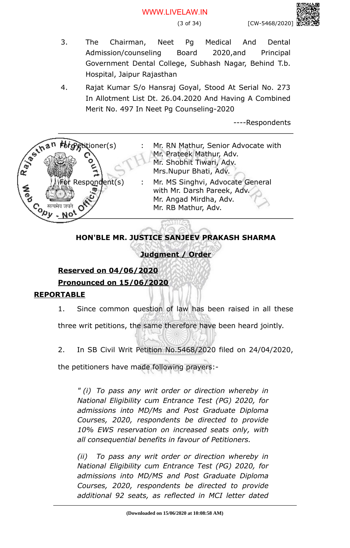- 3. The Chairman, Neet Pg Medical And Dental Admission/counseling Board 2020,and Principal Government Dental College, Subhash Nagar, Behind T.b. Hospital, Jaipur Rajasthan
- 4. Rajat Kumar S/o Hansraj Goyal, Stood At Serial No. 273 In Allotment List Dt. 26.04.2020 And Having A Combined Merit No. 497 In Neet Pg Counseling-2020

----Respondents



# **HON'BLE MR. JUSTICE SANJEEV PRAKASH SHARMA**

# **Judgment / Order**

# **Reserved on 04/06/2020 Pronounced on 15/06/2020**

## **REPORTABLE**

1. Since common question of law has been raised in all these

three writ petitions, the same therefore have been heard jointly.

2. In SB Civil Writ Petition No.5468/2020 filed on 24/04/2020,

the petitioners have made following prayers:-

*" (i) To pass any writ order or direction whereby in National Eligibility cum Entrance Test (PG) 2020, for admissions into MD/Ms and Post Graduate Diploma Courses, 2020, respondents be directed to provide 10% EWS reservation on increased seats only, with all consequential benefits in favour of Petitioners.*

*(ii) To pass any writ order or direction whereby in National Eligibility cum Entrance Test (PG) 2020, for admissions into MD/MS and Post Graduate Diploma Courses, 2020, respondents be directed to provide additional 92 seats, as reflected in MCI letter dated*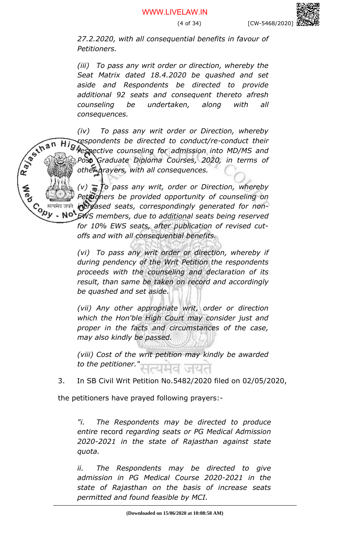*27.2.2020, with all consequential benefits in favour of Petitioners.*

*(iii) To pass any writ order or direction, whereby the Seat Matrix dated 18.4.2020 be quashed and set aside and Respondents be directed to provide additional 92 seats and consequent thereto afresh counseling be undertaken, along with all consequences.*

*(iv) To pass any writ order or Direction, whereby respondents be directed to conduct/re-conduct their respective counseling for admission into MD/MS and Post Graduate Diploma Courses, 2020, in terms of other prayers, with all consequences.*

Rayaum

*(v) To pass any writ, order or Direction, whereby Petitioners be provided opportunity of counseling on* Contra de de la mais de la mais de la mais de la mais de la mais de la mais de la mais de la mais de la mais d<br>Contra mais de la mais de la mais de la mais de la mais de la mais de la mais de la mais de la mais de la mais *increased seats, correspondingly generated for non-EWS members, due to additional seats being reserved*

*for 10% EWS seats, after publication of revised cutoffs and with all consequential benefits.*

*(vi) To pass any writ order or direction, whereby if during pendency of the Writ Petition the respondents proceeds with the counseling and declaration of its result, than same be taken on record and accordingly be quashed and set aside.*

*(vii) Any other appropriate writ, order or direction which the Hon'ble High Court may consider just and proper in the facts and circumstances of the case, may also kindly be passed.*

*(viii) Cost of the writ petition may kindly be awarded* to the petitioner.

3. In SB Civil Writ Petition No.5482/2020 filed on 02/05/2020,

the petitioners have prayed following prayers:-

*"i. The Respondents may be directed to produce entire* record *regarding seats or PG Medical Admission 2020-2021 in the state of Rajasthan against state quota.*

*ii. The Respondents may be directed to give admission in PG Medical Course 2020-2021 in the state of Rajasthan on the basis of increase seats permitted and found feasible by MCI.*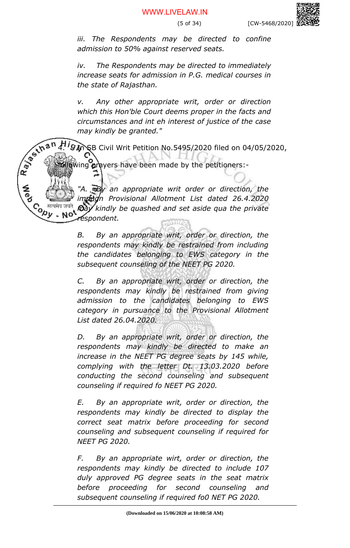*iii. The Respondents may be directed to confine admission to 50% against reserved seats.*

*iv. The Respondents may be directed to immediately increase seats for admission in P.G. medical courses in the state of Rajasthan.*

*v. Any other appropriate writ, order or direction which this Hon'ble Court deems proper in the facts and circumstances and int eh interest of justice of the case may kindly be granted."*

4. ISB Civil Writ Petition No.5495/2020 filed on 04/05/2020,

 $\log$  prayers have been made by the petitioners:-

*"A. By an appropriate writ order or direction, the impugn Provisional Allotment List dated 26.4.2020 may kindly be quashed and set aside qua the private respondent.*

> *B. By an appropriate writ, order or direction, the respondents may kindly be restrained from including the candidates belonging to EWS category in the subsequent counseling of the NEET PG 2020.*

> *C. By an appropriate writ, order or direction, the respondents may kindly be restrained from giving admission to the candidates belonging to EWS category in pursuance to the Provisional Allotment List dated 26.04.2020.*

> *D. By an appropriate writ, order or direction, the respondents may kindly be directed to make an increase in the NEET PG degree seats by 145 while, complying with the letter Dt. 13.03.2020 before conducting the second counseling and subsequent counseling if required fo NEET PG 2020.*

> *E. By an appropriate writ, order or direction, the respondents may kindly be directed to display the correct seat matrix before proceeding for second counseling and subsequent counseling if required for NEET PG 2020.*

> *F. By an appropriate wirt, order or direction, the respondents may kindly be directed to include 107 duly approved PG degree seats in the seat matrix before proceeding for second counseling and subsequent counseling if required fo0 NET PG 2020.*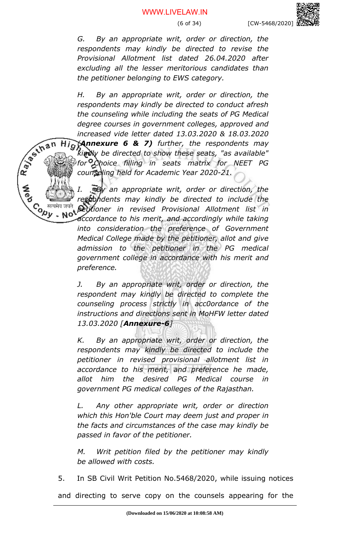*G. By an appropriate writ, order or direction, the respondents may kindly be directed to revise the Provisional Allotment list dated 26.04.2020 after excluding all the lesser meritorious candidates than the petitioner belonging to EWS category.* 

*H. By an appropriate writ, order or direction, the respondents may kindly be directed to conduct afresh the counseling while including the seats of PG Medical degree courses in government colleges, approved and increased vide letter dated 13.03.2020 & 18.03.2020*

Rayting *(Annexure 6 & 7) further, the respondents may* Hig *kindly be directed to show these seats, "as available" for Choice filling in seats matrix for NEET PG counseling held for Academic Year 2020-21.*

> *I. By an appropriate writ, order or direction, the respondents may kindly be directed to include the petitioner in revised Provisional Allotment list in*

> *accordance to his merit, and accordingly while taking into consideration the preference of Government Medical College made by the petitioner, allot and give admission to the petitioner in the PG medical government college in accordance with his merit and preference.*

> *J. By an appropriate writ, order or direction, the respondent may kindly be directed to complete the counseling process strictly in acc0ordance of the instructions and directions sent in MoHFW letter dated 13.03.2020 [Annexure-6]*

> *K. By an appropriate writ, order or direction, the respondents may kindly be directed to include the petitioner in revised provisional allotment list in accordance to his merit, and preference he made, allot him the desired PG Medical course in government PG medical colleges of the Rajasthan.*

> *L. Any other appropriate writ, order or direction which this Hon'ble Court may deem just and proper in the facts and circumstances of the case may kindly be passed in favor of the petitioner.*

> *M. Writ petition filed by the petitioner may kindly be allowed with costs.*

5. In SB Civil Writ Petition No.5468/2020, while issuing notices

and directing to serve copy on the counsels appearing for the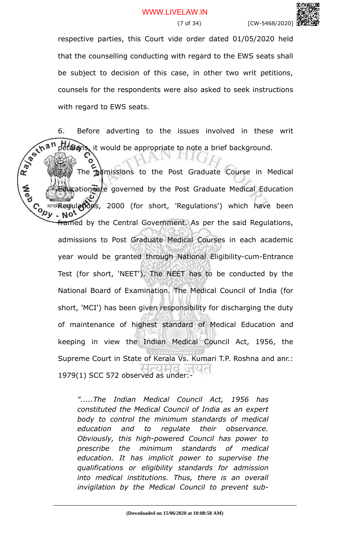respective parties, this Court vide order dated 01/05/2020 held that the counselling conducting with regard to the EWS seats shall be subject to decision of this case, in other two writ petitions, counsels for the respondents were also asked to seek instructions with regard to EWS seats.

6. Before adverting to the issues involved in these write<br>  $x^{\infty}$  than periodics it would be appropriate to note a brief background.<br>  $x^{\infty}$  The same of HAMPIC THE CONTRACT The same of the same of the same of the same petitions, it would be appropriate to note a brief background.

The admissions to the Post Graduate Course in Medical cation are governed by the Post Graduate Medical Education  $\mathcal{C}_{\mathcal{D}\mathcal{D}\mathcal{D}}$  are integral at  $\mathcal{D}_{\mathcal{D}}$  and  $\mathcal{D}_{\mathcal{D}}$  and  $\mathcal{D}_{\mathcal{D}}$  and  $\mathcal{D}_{\mathcal{D}}$  and  $\mathcal{D}_{\mathcal{D}}$  and  $\mathcal{D}_{\mathcal{D}}$  and  $\mathcal{D}_{\mathcal{D}}$  and  $\mathcal{D}_{\mathcal{D}}$  and  $\mathcal{D}_{\mathcal{D}}$  and  $\mathcal{D}_{\math$ framed by the Central Government. As per the said Regulations, admissions to Post Graduate Medical Courses in each academic year would be granted through National Eligibility-cum-Entrance Test (for short, 'NEET'). The NEET has to be conducted by the National Board of Examination. The Medical Council of India (for short, 'MCI') has been given responsibility for discharging the duty of maintenance of highest standard of Medical Education and keeping in view the Indian Medical Council Act, 1956, the Supreme Court in State of Kerala Vs. Kumari T.P. Roshna and anr.: 1979(1) SCC 572 observed as under:-

> *".....The Indian Medical Council Act, 1956 has constituted the Medical Council of India as an expert body to control the minimum standards of medical education and to regulate their observance. Obviously, this high-powered Council has power to prescribe the minimum standards of medical education. It has implicit power to supervise the qualifications or eligibility standards for admission into medical institutions. Thus, there is an overall invigilation by the Medical Council to prevent sub-*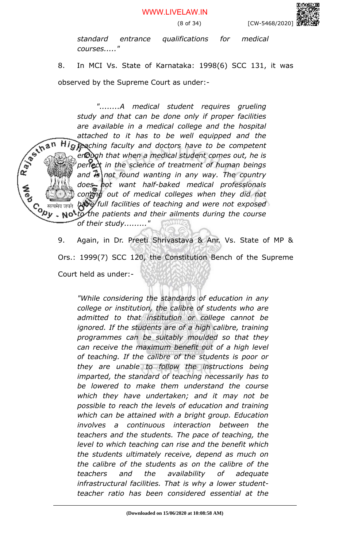*standard entrance qualifications for medical courses....."*

8. In MCI Vs. State of Karnataka: 1998(6) SCC 131, it was observed by the Supreme Court as under:-

*"........A medical student requires grueling study and that can be done only if proper facilities are available in a medical college and the hospital* R. P. S. In a n *attached to it has to be well equipped and the* Hig peaching faculty and doctors have to be competent *enough that when a medical student comes out, he is perfect in the science of treatment of human beings and is not found wanting in any way. The country does not want half-baked medical professionals coming out of medical colleges when they did not have full facilities of teaching and were not exposed to the patients and their ailments during the course of their study........."*

> 9. Again, in Dr. Preeti Shrivastava & Anr. Vs. State of MP & Ors.: 1999(7) SCC 120, the Constitution Bench of the Supreme Court held as under:-

*"While considering the standards of education in any college or institution, the calibre of students who are admitted to that institution or college cannot be ignored. If the students are of a high calibre, training programmes can be suitably moulded so that they can receive the maximum benefit out of a high level of teaching. If the calibre of the students is poor or they are unable to follow the instructions being imparted, the standard of teaching necessarily has to be lowered to make them understand the course which they have undertaken; and it may not be possible to reach the levels of education and training which can be attained with a bright group. Education involves a continuous interaction between the teachers and the students. The pace of teaching, the level to which teaching can rise and the benefit which the students ultimately receive, depend as much on the calibre of the students as on the calibre of the teachers and the availability of adequate infrastructural facilities. That is why a lower studentteacher ratio has been considered essential at the*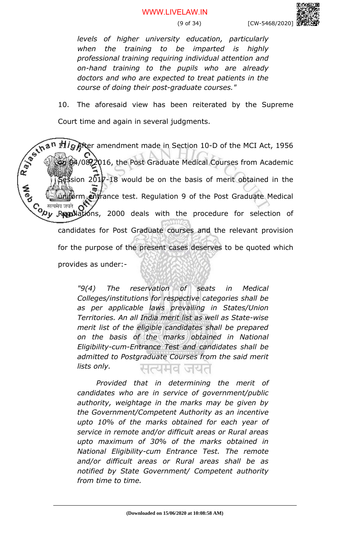*levels of higher university education, particularly when the training to be imparted is highly professional training requiring individual attention and on-hand training to the pupils who are already doctors and who are expected to treat patients in the course of doing their post-graduate courses."*

10. The aforesaid view has been reiterated by the Supreme Court time and again in several judgments.

11ig After amendment made in Section 10-D of the MCI Act, 1956 Rayan 4/08/2016, the Post Graduate Medical Courses from Academic sion  $2017-18$  would be on the basis of merit obtained in the rm entrance test. Regulation 9 of the Post Graduate Medical Co <sup>सत्यमेव जयते</sup> OV<br>९८७ Regul ations, 2000 deals with the procedure for selection of candidates for Post Graduate courses and the relevant provision for the purpose of the present cases deserves to be quoted which provides as under:-

> *"9(4) The reservation of seats in Medical Colleges/institutions for respective categories shall be as per applicable laws prevailing in States/Union Territories. An all India merit list as well as State-wise merit list of the eligible candidates shall be prepared on the basis of the marks obtained in National Eligibility-cum-Entrance Test and candidates shall be admitted to Postgraduate Courses from the said merit lists only.*  सत्यमव जयत

> *Provided that in determining the merit of candidates who are in service of government/public authority, weightage in the marks may be given by the Government/Competent Authority as an incentive upto 10% of the marks obtained for each year of service in remote and/or difficult areas or Rural areas upto maximum of 30% of the marks obtained in National Eligibility-cum Entrance Test. The remote and/or difficult areas or Rural areas shall be as notified by State Government/ Competent authority from time to time.*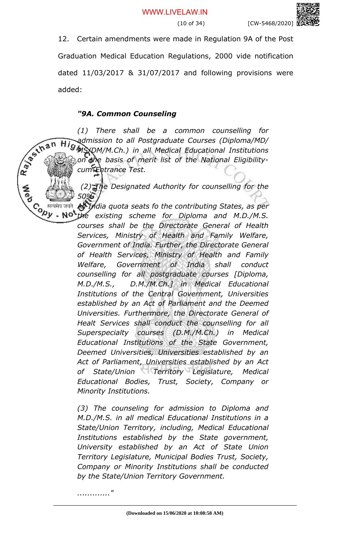

12. Certain amendments were made in Regulation 9A of the Post

Graduation Medical Education Regulations, 2000 vide notification dated 11/03/2017 & 31/07/2017 and following provisions were added:

## *"9A. Common Counseling*

*(1) There shall be a common counselling for* Rayaum *Admission to all Postgraduate Courses (Diploma/MD/*<br>*Allow the the planetical Educational Institutions MS/DM/M.Ch.) in all Medical Educational Institutions on the basis of merit list of the National Eligibilitycum-Entrance Test.*

 *(2) The Designated Authority for counselling for the 50%* 

Contra de de la mais de la mais de la mais de la mais de la mais de la mais de la mais de la mais de la mais d<br>Contra mais de la mais de la mais de la mais de la mais de la mais de la mais de la mais de la mais de la mais *All India quota seats fo the contributing States, as per*

*the existing scheme for Diploma and M.D./M.S. courses shall be the Directorate General of Health Services, Ministry of Health and Family Welfare, Government of India. Further, the Directorate General of Health Services, Ministry of Health and Family Welfare, Government of India shall conduct counselling for all postgraduate courses [Diploma, M.D./M.S., D.M./M.Ch.] in Medical Educational Institutions of the Central Government, Universities established by an Act of Parliament and the Deemed Universities. Furthermore, the Directorate General of Healt Services shall conduct the counselling for all Superspecialty courses (D.M./M.Ch.) in Medical Educational Institutions of the State Government, Deemed Universities, Universities established by an Act of Parliament, Universities established by an Act of State/Union Territory Legislature, Medical Educational Bodies, Trust, Society, Company or Minority Institutions.*

*(3) The counseling for admission to Diploma and M.D./M.S. in all medical Educational Institutions in a State/Union Territory, including, Medical Educational Institutions established by the State government, University established by an Act of State Union Territory Legislature, Municipal Bodies Trust, Society, Company or Minority Institutions shall be conducted by the State/Union Territory Government.*

*............."*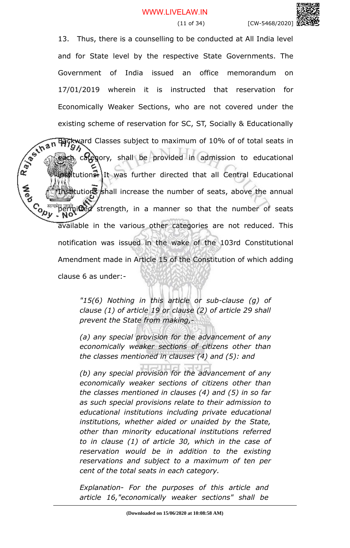(11 of 34) [CW-5468/2020]

13. Thus, there is a counselling to be conducted at All India level and for State level by the respective State Governments. The Government of India issued an office memorandum on 17/01/2019 wherein it is instructed that reservation for Economically Weaker Sections, who are not covered under the existing scheme of reservation for SC, ST, Socially & Educationally<br> **ART BACKWART Classes subject to maximum of 10% of of total seats in**<br> **ART BACKWART CONSISTING SOCIETY**<br> **ART CONSISTING SEARCH CONSISTS** Backward Classes subject to maximum of 10% of of total seats in category, shall be provided in admission to educational **istitutions.** It was further directed that all Central Educational nstitutions shall increase the number of seats, above the annual **Cody** permitted strength, in a manner so that the number of seats available in the various other categories are not reduced. This notification was issued in the wake of the 103rd Constitutional Amendment made in Article 15 of the Constitution of which adding clause 6 as under:-

> *"15(6) Nothing in this article or sub-clause (g) of clause (1) of article 19 or clause (2) of article 29 shall prevent the State from making,-*

> *(a) any special provision for the advancement of any economically weaker sections of citizens other than the classes mentioned in clauses (4) and (5): and*

> *(b) any special provision for the advancement of any economically weaker sections of citizens other than the classes mentioned in clauses (4) and (5) in so far as such special provisions relate to their admission to educational institutions including private educational institutions, whether aided or unaided by the State, other than minority educational institutions referred to in clause (1) of article 30, which in the case of reservation would be in addition to the existing reservations and subject to a maximum of ten per cent of the total seats in each category.*

*Explanation- For the purposes of this article and article 16,"economically weaker sections" shall be*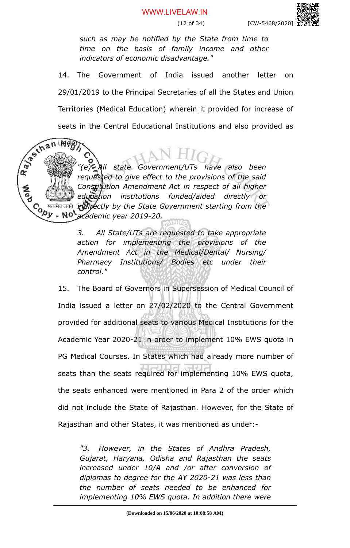*such as may be notified by the State from time to time on the basis of family income and other indicators of economic disadvantage."*

14. The Government of India issued another letter on 29/01/2019 to the Principal Secretaries of all the States and Union Territories (Medical Education) wherein it provided for increase of

seats in the Central Educational Institutions and also provided as<br>  $\frac{1}{2}$ <br>  $\frac{1}{2}$ <br>  $\frac{1}{2}$ <br>  $\frac{1}{2}$ <br>  $\frac{1}{2}$ <br>  $\frac{1}{2}$ <br>  $\frac{1}{2}$ <br>  $\frac{1}{2}$ <br>  $\frac{1}{2}$ <br>  $\frac{1}{2}$ <br>  $\frac{1}{2}$ <br>  $\frac{1}{2}$ <br>  $\frac{1}{2}$ <br>  $\frac{1}{2}$ <br> *"(e) All state Government/UTs have also been requested to give effect to the provisions of the said Constitution Amendment Act in respect of all higher education institutions funded/aided directly or* Contre *indirectly by the State Government starting from the* **NO** *academic year 2019-20.*

under:

*3. All State/UTs are requested to take appropriate action for implementing the provisions of the Amendment Act in the Medical/Dental/ Nursing/ Pharmacy Institutions/ Bodies etc under their control."*

15. The Board of Governors in Supersession of Medical Council of India issued a letter on 27/02/2020 to the Central Government provided for additional seats to various Medical Institutions for the Academic Year 2020-21 in order to implement 10% EWS quota in PG Medical Courses. In States which had already more number of seats than the seats required for implementing 10% EWS quota, the seats enhanced were mentioned in Para 2 of the order which did not include the State of Rajasthan. However, for the State of Rajasthan and other States, it was mentioned as under:-

*"3. However, in the States of Andhra Pradesh, Gujarat, Haryana, Odisha and Rajasthan the seats increased under 10/A and /or after conversion of diplomas to degree for the AY 2020-21 was less than the number of seats needed to be enhanced for implementing 10% EWS quota. In addition there were*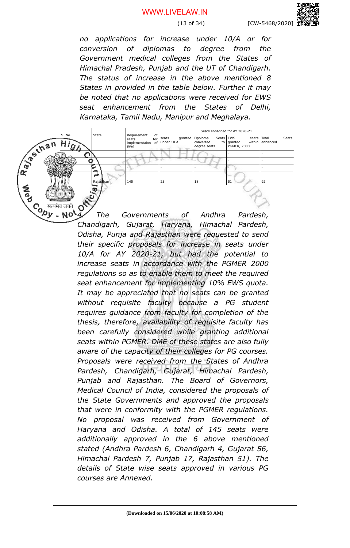(13 of 34) [CW-5468/2020]

*no applications for increase under 10/A or for conversion of diplomas to degree from the Government medical colleges from the States of Himachal Pradesh, Punjab and the UT of Chandigarh. The status of increase in the above mentioned 8 States in provided in the table below. Further it may be noted that no applications were received for EWS seat enhancement from the States of Delhi, Karnataka, Tamil Nadu, Manipur and Meghalaya.*



*4. The Governments of Andhra Pardesh, Chandigarh, Gujarat, Haryana, Himachal Pardesh, Odisha, Punja and Rajasthan were requested to send their specific proposals for increase in seats under 10/A for AY 2020-21, but had the potential to increase seats in accordance with the PGMER 2000 regulations so as to enable them to meet the required seat enhancement for implementing 10% EWS quota. It may be appreciated that no seats can be granted without requisite faculty because a PG student requires guidance from faculty for completion of the thesis, therefore, availability of requisite faculty has been carefully considered while granting additional seats within PGMER. DME of these states are also fully aware of the capacity of their colleges for PG courses. Proposals were received from the States of Andhra Pardesh, Chandigarh, Gujarat, Himachal Pardesh, Punjab and Rajasthan. The Board of Governors, Medical Council of India, considered the proposals of the State Governments and approved the proposals that were in conformity with the PGMER regulations. No proposal was received from Government of Haryana and Odisha. A total of 145 seats were additionally approved in the 6 above mentioned stated (Andhra Pardesh 6, Chandigarh 4, Gujarat 56, Himachal Pardesh 7, Punjab 17, Rajasthan 51). The details of State wise seats approved in various PG courses are Annexed.*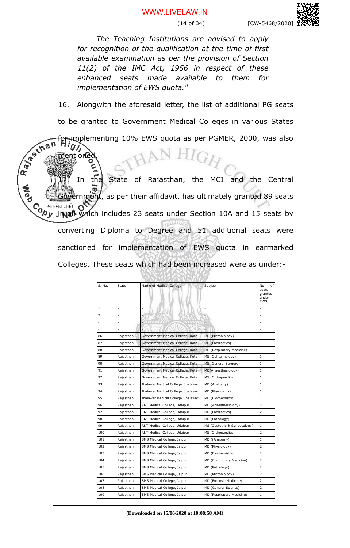(14 of 34) [CW-5468/2020]

*The Teaching Institutions are advised to apply for recognition of the qualification at the time of first available examination as per the provision of Section 11(2) of the IMC Act, 1956 in respect of these enhanced seats made available to them for implementation of EWS quota."*

16. Alongwith the aforesaid letter, the list of additional PG seats to be granted to Government Medical Colleges in various States

implementing 10% EWS quota as per PGMER, 2000, was also

ntioned

97,

Rayaun In the State of Rajasthan, the MCI and the Central  $r$ nment, as per their affidavit, has ultimately granted 89 seats C<sub>o सत्यमेव जयते</sub><br>V<sub>2</sub>py ji**n all** which includes 23 seats under Section 10A and 15 seats by converting Diploma to Degree and 51 additional seats were sanctioned for implementation of EWS quota in earmarked Colleges. These seats which had been increased were as under:-

| S. No. | State     | Name of Medical College            | Subject                      | No<br>of<br>seats<br>granted<br>under<br><b>EWS</b> |
|--------|-----------|------------------------------------|------------------------------|-----------------------------------------------------|
| 1      |           |                                    |                              |                                                     |
| 2      | ٠         |                                    |                              | ÷                                                   |
|        | ä,        |                                    |                              | ÷                                                   |
|        |           |                                    |                              |                                                     |
| 86     | Rajasthan | Government Medical College, Kota   | MD (Microbiology)            | 1                                                   |
| 87     | Rajasthan | Government Medical College, Kota   | MD (Paediatrics)             | 1                                                   |
| 88     | Rajasthan | Government Medical College, Kota   | MD (Respiratory Medicine)    | 1                                                   |
| 89     | Rajasthan | Government Medical College, Kota   | MS (Ophtalmology)            | 1                                                   |
| 90     | Rajasthan | Government Medical College, Kota   | MS (General Surgery)         | $\mathbf 1$                                         |
| 91     | Rajasthan | Government Medical College, Kota   | MD(Anaesthesiology)          | 1                                                   |
| 92     | Rajasthan | Government Medical College, Kota   | MS (Orthopaedics)            | 1                                                   |
| 93     | Rajasthan | Jhalawar Medical College, Jhalawar | MD (Anatomy)                 | $\mathbf 1$                                         |
| 94     | Rajasthan | Jhalawar Medical College, Jhalawar | MD (Physiology)              | 1                                                   |
| 95     | Rajasthan | Jhalawar Medical College, Jhalawar | MD (Biochemistry)            | 1                                                   |
| 96     | Rajasthan | RNT Medical College, Udaipur       | MD (Anaesthesiology)         | 2                                                   |
| 97     | Rajasthan | RNT Medical College, Udaipur       | MD (Paediatrics)             | 2                                                   |
| 98     | Rajasthan | RNT Medical College, Udaipur       | MD (Pathology)               | 1                                                   |
| 99     | Rajasthan | RNT Medical College, Udaipur       | MS (Obstetric & Gynaecology) | 1                                                   |
| 100    | Rajasthan | RNT Medical College, Udaipur       | MS (Orthopaedics)            | 2                                                   |
| 101    | Rajasthan | SMS Medical College, Jaipur        | MD ((Anatomy)                | 1                                                   |
| 102    | Rajasthan | SMS Medical College, Jaipur        | MD (Physiology)              | 2                                                   |
| 103    | Rajasthan | SMS Medical College, Jaipur        | MD (Biochemistry)            | 2                                                   |
| 104    | Rajasthan | SMS Medical College, Jaipur        | MD (Community Medicine)      | $\overline{2}$                                      |
| 105    | Rajasthan | SMS Medical College, Jaipur        | MD (Pathology)               | 2                                                   |
| 106    | Rajasthan | SMS Medical College, Jaipur        | MD (Microbiology)            | 2                                                   |
| 107    | Rajasthan | SMS Medical College, Jaipur        | MD (Forensic Medicine)       | $\overline{2}$                                      |
| 108    | Rajasthan | SMS Medical College, Jaipur        | MD (General Science)         | 2                                                   |
| 109    | Rajasthan | SMS Medical College, Jaipur        | MD (Respiratory Medicine)    | 1                                                   |

**(Downloaded on 15/06/2020 at 10:08:58 AM)**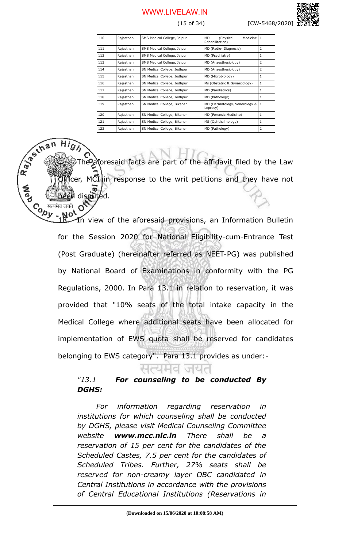(15 of 34) [CW-5468/2020]

| 110 | Rajasthan | SMS Medical College, Jaipur | (Physical<br><b>MD</b><br>Medicine   1<br>Rehabilitation) |   |
|-----|-----------|-----------------------------|-----------------------------------------------------------|---|
| 111 | Rajasthan | SMS Medical College, Jaipur | MD (Radio-Diagnosis)                                      | 2 |
| 112 | Rajasthan | SMS Medical College, Jaipur | MD (Psychiatry)                                           | 1 |
| 113 | Rajasthan | SMS Medical College, Jaipur | MD (Anaesthesiology)                                      | 2 |
| 114 | Rajasthan | SN Medical College, Jodhpur | MD (Anaesthesiology)                                      | 2 |
| 115 | Rajasthan | SN Medical College, Jodhpur | MD (Microbiology)                                         | 1 |
| 116 | Rajasthan | SN Medical College, Jodhpur | Ms (Obstetric & Gynaecology)                              | 1 |
| 117 | Rajasthan | SN Medical College, Jodhpur | MD (Paediatrics)                                          | 1 |
| 118 | Rajasthan | SN Medical College, Jodhpur | MD (Pathology)                                            | 1 |
| 119 | Rajasthan | SN Medical College, Bikaner | MD (Dermatology, Venerology &<br>Leprosy)                 | 1 |
| 120 | Rajasthan | SN Medical College, Bikaner | MD (Forensic Medicine)                                    | 1 |
| 121 | Rajasthan | SN Medical College, Bikaner | MS (Ophthalmology)                                        | 1 |
| 122 | Rajasthan | SN Medical College, Bikaner | MD (Pathology)                                            | 2 |

he aforesaid facts are part of the affidavit filed by the Law fcer, MCI in response to the writ petitions and they have not dismitted.

Rayan

**Contr** 

In view of the aforesaid provisions, an Information Bulletin for the Session 2020 for National Eligibility-cum-Entrance Test (Post Graduate) (hereinafter referred as NEET-PG) was published by National Board of Examinations in conformity with the PG Regulations, 2000. In Para 13.1 in relation to reservation, it was provided that "10% seats of the total intake capacity in the Medical College where additional seats have been allocated for implementation of EWS quota shall be reserved for candidates belonging to EWS category". Para 13.1 provides as under:-

# *"13.1 For counseling to be conducted By DGHS:*

*For information regarding reservation in institutions for which counseling shall be conducted by DGHS, please visit Medical Counseling Committee website www.mcc.nic.in There shall be a reservation of 15 per cent for the candidates of the Scheduled Castes, 7.5 per cent for the candidates of Scheduled Tribes. Further, 27% seats shall be reserved for non-creamy layer OBC candidated in Central Institutions in accordance with the provisions of Central Educational Institutions (Reservations in*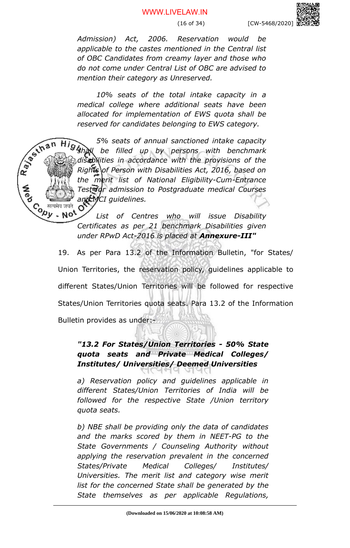*Admission) Act, 2006. Reservation would be applicable to the castes mentioned in the Central list of OBC Candidates from creamy layer and those who do not come under Central List of OBC are advised to mention their category as Unreserved.*

*10% seats of the total intake capacity in a medical college where additional seats have been allocated for implementation of EWS quota shall be reserved for candidates belonging to EWS category.*

*5% seats of annual sanctioned intake capacity shall be filled up by persons with benchmark disabilities in accordance with the provisions of the Rights of Person with Disabilities Act, 2016, based on the merit list of National Eligibility-Cum-Entrance Test for admission to Postgraduate medical Courses and MCI guidelines.* O

Rayaun

Contra de de la main de la main de la main de la main de la main de la main de la main de la main de la main de<br>Contra main de la main de la main de la main de la main de la main de la main de la main de la main de la main *List of Centres who will issue Disability Certificates as per 21 benchmark Disabilities given under RPwD Act-2016 is placed at Annexure-III"*

> 19. As per Para 13.2 of the Information Bulletin, "for States/ Union Territories, the reservation policy, guidelines applicable to different States/Union Territories will be followed for respective States/Union Territories quota seats. Para 13.2 of the Information Bulletin provides as under:-

# *"13.2 For States/Union Territories - 50% State quota seats and Private Medical Colleges/ Institutes/ Universities/ Deemed Universities*

*a) Reservation policy and guidelines applicable in different States/Union Territories of India will be followed for the respective State /Union territory quota seats.* 

*b) NBE shall be providing only the data of candidates and the marks scored by them in NEET-PG to the State Governments / Counseling Authority without applying the reservation prevalent in the concerned States/Private Medical Colleges/ Institutes/ Universities. The merit list and category wise merit list for the concerned State shall be generated by the State themselves as per applicable Regulations,*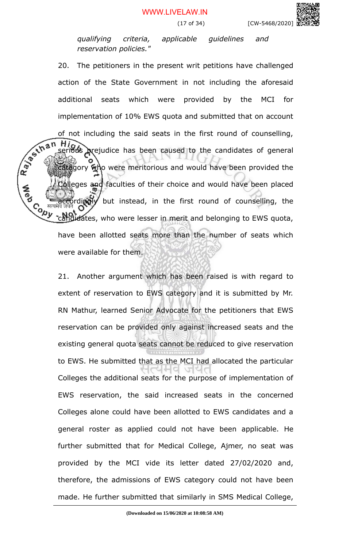*qualifying criteria, applicable guidelines and reservation policies."* 

20. The petitioners in the present writ petitions have challenged action of the State Government in not including the aforesaid additional seats which were provided by the MCI for implementation of 10% EWS quota and submitted that on account of not including the said seats in the first round of counselling,<br>serious prejudice has been caused to the candidates of comparisons of the candidates of the candidates of the candidates of the candidates of the candidat serious prejudice has been caused to the candidates of general gory who were meritorious and would have been provided the leges and faculties of their choice and would have been placed rdingly but instead, in the first round of counselling, the **Copy** didates, who were lesser in merit and belonging to EWS quota, have been allotted seats more than the number of seats which were available for them.

> 21. Another argument which has been raised is with regard to extent of reservation to EWS category and it is submitted by Mr. RN Mathur, learned Senior Advocate for the petitioners that EWS reservation can be provided only against increased seats and the existing general quota seats cannot be reduced to give reservation to EWS. He submitted that as the MCI had allocated the particular Colleges the additional seats for the purpose of implementation of EWS reservation, the said increased seats in the concerned Colleges alone could have been allotted to EWS candidates and a general roster as applied could not have been applicable. He further submitted that for Medical College, Ajmer, no seat was provided by the MCI vide its letter dated 27/02/2020 and, therefore, the admissions of EWS category could not have been made. He further submitted that similarly in SMS Medical College,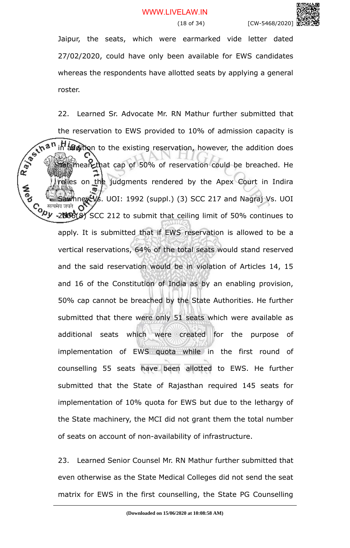Jaipur, the seats, which were earmarked vide letter dated 27/02/2020, could have only been available for EWS candidates whereas the respondents have allotted seats by applying a general roster.

22. Learned Sr. Advocate Mr. RN Mathur further submitted that the reservation to EWS provided to 10% of admission capacity is<br>  $x^2 + a^n$  in addition to the existing reservation, however, the addition does in addition to the existing reservation, however, the addition does **not mean that cap of 50% of reservation could be breached. He** elies on the judgments rendered by the Apex Court in Indira **A**<br>Po ney Vs. UOI: 1992 (suppl.) (3) SCC 217 and Nagraj Vs. UOI Co <sup>सत्यमेव जयते</sup> OV<br>V*V* -2006(8) SCC 212 to submit that ceiling limit of 50% continues to apply. It is submitted that if EWS reservation is allowed to be a vertical reservations, 64% of the total seats would stand reserved and the said reservation would be in violation of Articles 14, 15 and 16 of the Constitution of India as by an enabling provision, 50% cap cannot be breached by the State Authorities. He further submitted that there were only 51 seats which were available as additional seats which were created for the purpose of implementation of EWS quota while in the first round of counselling 55 seats have been allotted to EWS. He further submitted that the State of Rajasthan required 145 seats for implementation of 10% quota for EWS but due to the lethargy of the State machinery, the MCI did not grant them the total number of seats on account of non-availability of infrastructure.

> 23. Learned Senior Counsel Mr. RN Mathur further submitted that even otherwise as the State Medical Colleges did not send the seat matrix for EWS in the first counselling, the State PG Counselling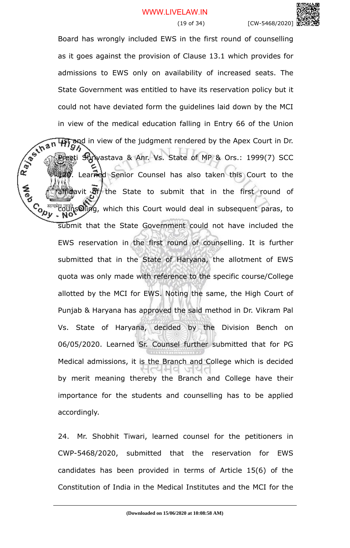

Board has wrongly included EWS in the first round of counselling as it goes against the provision of Clause 13.1 which provides for admissions to EWS only on availability of increased seats. The State Government was entitled to have its reservation policy but it could not have deviated form the guidelines laid down by the MCI in view of the medical education falling in Entry 66 of the Union List and in view of the judgment rendered by the Apex Court in Dr.<br>
The gradient court in Dr. eeti Shrivastava & Anr. Vs. State of MP & Ors.: 1999(7) SCC Learned Senior Counsel has also taken this Court to the  $\frac{1}{2}$  and  $\frac{1}{2}$  the State to submit that in the first round of  $\mathcal{C}_{\mathbf{a}_{\mathbf{b}}}\overline{\mathbf{a}}$  and  $\overline{\mathbf{c}}$  and  $\overline{\mathbf{c}}$  and  $\overline{\mathbf{c}}$  and  $\overline{\mathbf{c}}$  and  $\overline{\mathbf{c}}$  and  $\overline{\mathbf{c}}$  and  $\overline{\mathbf{c}}$  and  $\overline{\mathbf{c}}$  and  $\overline{\mathbf{c}}$  and  $\overline{\mathbf{c}}$  and  $\overline{\mathbf{c}}$  and  $\overline{\mathbf{c}}$ submit that the State Government could not have included the EWS reservation in the first round of counselling. It is further submitted that in the State of Haryana, the allotment of EWS quota was only made with reference to the specific course/College allotted by the MCI for EWS. Noting the same, the High Court of Punjab & Haryana has approved the said method in Dr. Vikram Pal Vs. State of Haryana, decided by the Division Bench on 06/05/2020. Learned Sr. Counsel further submitted that for PG Medical admissions, it is the Branch and College which is decided by merit meaning thereby the Branch and College have their importance for the students and counselling has to be applied accordingly.

Ray of that

**A**<br>Po

24. Mr. Shobhit Tiwari, learned counsel for the petitioners in CWP-5468/2020, submitted that the reservation for EWS candidates has been provided in terms of Article 15(6) of the Constitution of India in the Medical Institutes and the MCI for the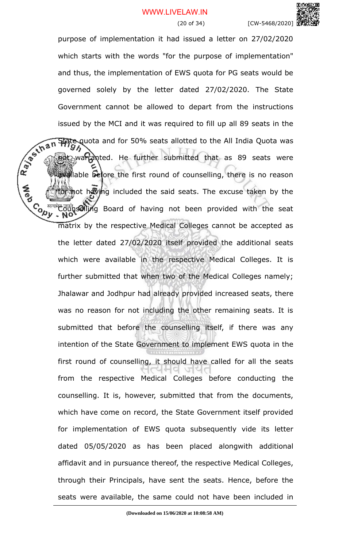

(20 of 34) [CW-5468/2020]

purpose of implementation it had issued a letter on 27/02/2020 which starts with the words "for the purpose of implementation" and thus, the implementation of EWS quota for PG seats would be governed solely by the letter dated 27/02/2020. The State Government cannot be allowed to depart from the instructions issued by the MCI and it was required to fill up all 89 seats in the<br>  $\frac{1}{2}$ <br>  $\frac{1}{2}$ <br>  $\frac{1}{2}$ <br>  $\frac{1}{2}$ <br>  $\frac{1}{2}$ <br>  $\frac{1}{2}$ <br>  $\frac{1}{2}$ <br>  $\frac{1}{2}$ <br>  $\frac{1}{2}$ <br>  $\frac{1}{2}$ <br>  $\frac{1}{2}$ <br>  $\frac{1}{2}$ <br>  $\frac{1}{2}$ <br>  $\frac{1}{2}$ State quota and for 50% seats allotted to the All India Quota was not warranted. He further submitted that as 89 seats were available before the first round of counselling, there is no reason mot having included the said seats. The excuse taken by the Conselling Board of having not been provided with the seat matrix by the respective Medical Colleges cannot be accepted as the letter dated 27/02/2020 itself provided the additional seats which were available in the respective Medical Colleges. It is further submitted that when two of the Medical Colleges namely; Jhalawar and Jodhpur had already provided increased seats, there was no reason for not including the other remaining seats. It is submitted that before the counselling itself, if there was any intention of the State Government to implement EWS quota in the first round of counselling, it should have called for all the seats from the respective Medical Colleges before conducting the counselling. It is, however, submitted that from the documents, which have come on record, the State Government itself provided for implementation of EWS quota subsequently vide its letter dated 05/05/2020 as has been placed alongwith additional affidavit and in pursuance thereof, the respective Medical Colleges, through their Principals, have sent the seats. Hence, before the seats were available, the same could not have been included in

**A**<br>Po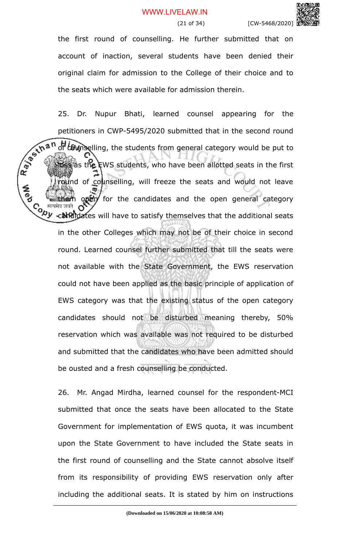the first round of counselling. He further submitted that on account of inaction, several students have been denied their original claim for admission to the College of their choice and to the seats which were available for admission therein.

25. Dr. Nupur Bhati, learned counsel appearing for the petitioners in CWP-5495/2020 submitted that in the second round<br>
we are the second of the students from general category would be put to<br>
the students, who has the students, who has the second round be put to  $\sigma$   $\epsilon$   $\epsilon$   $\omega$  selling, the students from general category would be put to **Loss** as the EWS students, who have been allotted seats in the first und of counselling, will freeze the seats and would not leave **A**ed  $optr$  for the candidates and the open general category Co <sup>सत्यमेव जयते</sup> OV<br>Nu xakedidates will have to satisfy themselves that the additional seats in the other Colleges which may not be of their choice in second round. Learned counsel further submitted that till the seats were not available with the State Government, the EWS reservation could not have been applied as the basic principle of application of EWS category was that the existing status of the open category candidates should not be disturbed meaning thereby, 50% reservation which was available was not required to be disturbed and submitted that the candidates who have been admitted should be ousted and a fresh counselling be conducted.

> 26. Mr. Angad Mirdha, learned counsel for the respondent-MCI submitted that once the seats have been allocated to the State Government for implementation of EWS quota, it was incumbent upon the State Government to have included the State seats in the first round of counselling and the State cannot absolve itself from its responsibility of providing EWS reservation only after including the additional seats. It is stated by him on instructions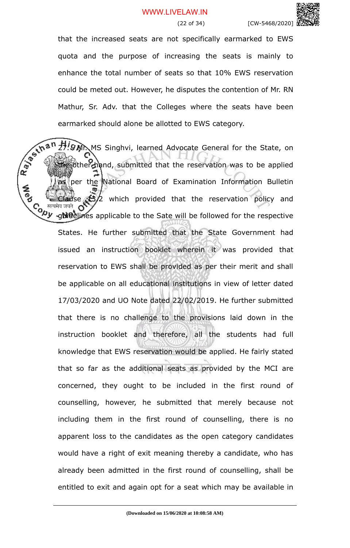

that the increased seats are not specifically earmarked to EWS quota and the purpose of increasing the seats is mainly to enhance the total number of seats so that 10% EWS reservation could be meted out. However, he disputes the contention of Mr. RN Mathur, Sr. Adv. that the Colleges where the seats have been earmarked should alone be allotted to EWS category.

Ray of this **77. WR.** MS Singhvi, learned Advocate General for the State, on te other hand, submitted that the reservation was to be applied per the National Board of Examination Information Bulletin CB2 which provided that the reservation policy and Co सत्यमेव जयते OV<br>Wy <sub>\*9</sub>Nieglines applicable to the Sate will be followed for the respective States. He further submitted that the State Government had issued an instruction booklet wherein it was provided that reservation to EWS shall be provided as per their merit and shall be applicable on all educational institutions in view of letter dated 17/03/2020 and UO Note dated 22/02/2019. He further submitted that there is no challenge to the provisions laid down in the instruction booklet and therefore, all the students had full knowledge that EWS reservation would be applied. He fairly stated that so far as the additional seats as provided by the MCI are concerned, they ought to be included in the first round of counselling, however, he submitted that merely because not including them in the first round of counselling, there is no apparent loss to the candidates as the open category candidates would have a right of exit meaning thereby a candidate, who has already been admitted in the first round of counselling, shall be entitled to exit and again opt for a seat which may be available in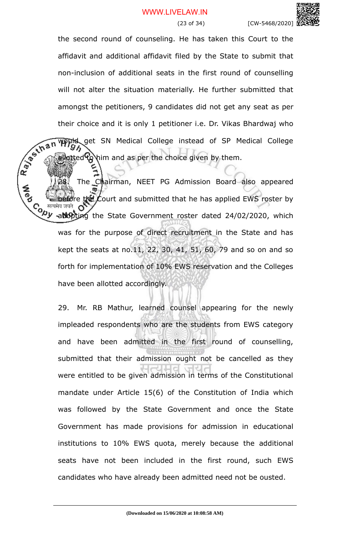the second round of counseling. He has taken this Court to the affidavit and additional affidavit filed by the State to submit that non-inclusion of additional seats in the first round of counselling will not alter the situation materially. He further submitted that amongst the petitioners, 9 candidates did not get any seat as per their choice and it is only 1 petitioner i.e. Dr. Vikas Bhardwaj who Would get SN Medical College instead of SP Medical College lotted to him and as per the choice given by them.

Ray of thi The Chairman, NEET PG Admission Board also appeared e the Court and submitted that he has applied EWS roster by C<sub>o सत्यमेव जयते</sub> OV<br>Vy <sub>ra</sub>dopting the State Government roster dated 24/02/2020, which was for the purpose of direct recruitment in the State and has kept the seats at no.11, 22, 30, 41, 51, 60, 79 and so on and so forth for implementation of 10% EWS reservation and the Colleges have been allotted accordingly.

> 29. Mr. RB Mathur, learned counsel appearing for the newly impleaded respondents who are the students from EWS category and have been admitted in the first round of counselling, submitted that their admission ought not be cancelled as they were entitled to be given admission in terms of the Constitutional mandate under Article 15(6) of the Constitution of India which was followed by the State Government and once the State Government has made provisions for admission in educational institutions to 10% EWS quota, merely because the additional seats have not been included in the first round, such EWS candidates who have already been admitted need not be ousted.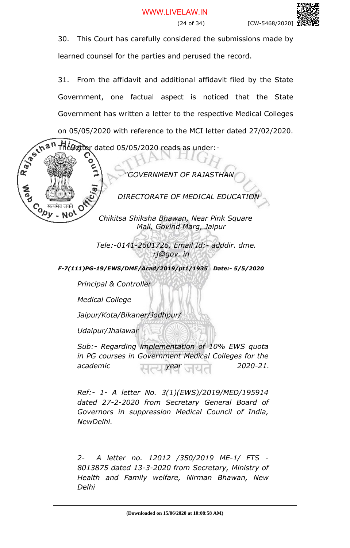

learned counsel for the parties and perused the record.

31. From the affidavit and additional affidavit filed by the State Government, one factual aspect is noticed that the State Government has written a letter to the respective Medical Colleges on 05/05/2020 with reference to the MCI letter dated 27/02/2020.

R. Berthan  $\tt TH$ é $\bf G$ etter dated 05/05/2020 reads as under:-

 *"GOVERNMENT OF RAJASTHAN*

*DIRECTORATE OF MEDICAL EDUCATION* 

*Chikitsa Shiksha Bhawan, Near Pink Square Mall, Govind Marg, Jaipur*

 *Tele:-0141-2601726, Email Id:- adddir. dme. rj@gov. in*

*F-7(111)PG-19/EWS/DME/Acad/2019/pt1/1935 Date:- 5/5/2020*

*Principal & Controller*

*Medical College*

**Cody** 

- No'

*Jaipur/Kota/Bikaner/Jodhpur/*

*Udaipur/Jhalawar*

*Sub:- Regarding implementation of 10% EWS quota in PG courses in Government Medical Colleges for the academic year 2020-21.*

*Ref:- 1- A letter No. 3(1)(EWS)/2019/MED/195914 dated 27-2-2020 from Secretary General Board of Governors in suppression Medical Council of India, NewDelhi.*

*2- A letter no. 12012 /350/2019 ME-1/ FTS - 8013875 dated 13-3-2020 from Secretary, Ministry of Health and Family welfare, Nirman Bhawan, New Delhi*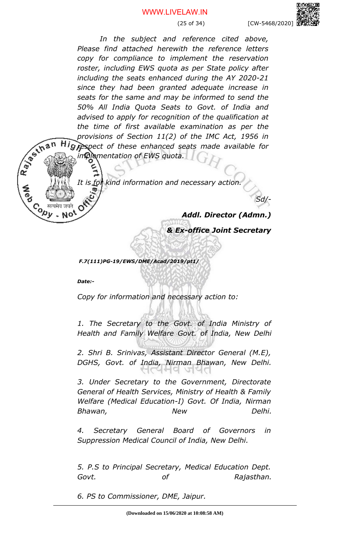(25 of 34) [CW-5468/2020]

*In the subject and reference cited above, Please find attached herewith the reference letters copy for compliance to implement the reservation roster, including EWS quota as per State policy after including the seats enhanced during the AY 2020-21 since they had been granted adequate increase in seats for the same and may be informed to send the 50% All India Quota Seats to Govt. of India and advised to apply for recognition of the qualification at the time of first available examination as per the provisions of Section 11(2) of the IMC Act, 1956 in respect of these enhanced seats made available for implementation of EWS quota.* 

*It is for kind information and necessary action.*

*Addl. Director (Admn.)*

*Sd/-*

*& Ex-office Joint Secretary*

 *F.7(111)PG-19/EWS/DME/Acad/2019/pt1/*

*Date:-* 

Ray of than

**Copy** 

**NO** 

*Copy for information and necessary action to:*

*1. The Secretary to the Govt. of India Ministry of Health and Family Welfare Govt. of India, New Delhi*

*2. Shri B. Srinivas, Assistant Director General (M.E), DGHS, Govt. of India, Nirman Bhawan, New Delhi.* াপেল৭ অপ

*3. Under Secretary to the Government, Directorate General of Health Services, Ministry of Health & Family Welfare (Medical Education-I) Govt. Of India, Nirman Bhawan, New Delhi.*

*4. Secretary General Board of Governors in Suppression Medical Council of India, New Delhi.*

*5. P.S to Principal Secretary, Medical Education Dept. Govt. of Rajasthan.*

*6. PS to Commissioner, DME, Jaipur.*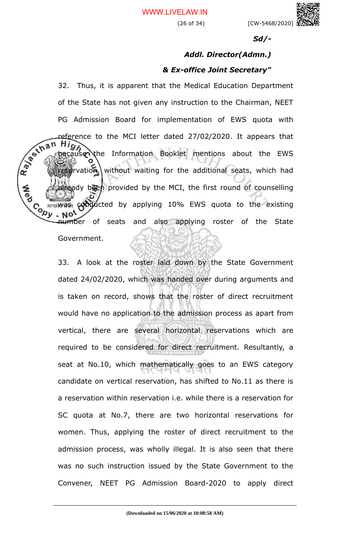(26 of 34) [CW-5468/2020]

*Sd/-*

# *Addl. Director(Admn.) & Ex-office Joint Secretary"*

32. Thus, it is apparent that the Medical Education Department of the State has not given any instruction to the Chairman, NEET PG Admission Board for implementation of EWS quota with reference to the MCI letter dated 27/02/2020. It appears that<br>the decause the Information Booklet mentions about 1.<br>experience of the University of the MCI state of the MCI state of the MCI state of the MCI state of the MC High<br>recause the Information Booklet mentions about the EWS grvation, without waiting for the additional seats, which had ady been provided by the MCI, the first round of counselling Conducted by applying 10% EWS quota to the existing conducted by applying 10% EWS quota to the existing **NO** number of seats and also applying roster of the State

Government.

**A**ed

33. A look at the roster laid down by the State Government dated 24/02/2020, which was handed over during arguments and is taken on record, shows that the roster of direct recruitment would have no application to the admission process as apart from vertical, there are several horizontal reservations which are required to be considered for direct recruitment. Resultantly, a seat at No.10, which mathematically goes to an EWS category candidate on vertical reservation, has shifted to No.11 as there is a reservation within reservation i.e. while there is a reservation for SC quota at No.7, there are two horizontal reservations for women. Thus, applying the roster of direct recruitment to the admission process, was wholly illegal. It is also seen that there was no such instruction issued by the State Government to the Convener, NEET PG Admission Board-2020 to apply direct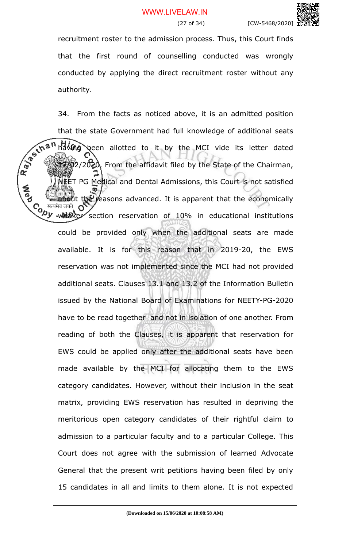recruitment roster to the admission process. Thus, this Court finds that the first round of counselling conducted was wrongly conducted by applying the direct recruitment roster without any authority.

34. From the facts as noticed above, it is an admitted position that the state Government had full knowledge of additional seats<br>  $\frac{1}{2}$  than having been allotted to it by the MCI vide its letter dated<br>  $\frac{1}{2}$ <br>  $\frac{1}{2}$ <br>  $\frac{1}{2}$ <br>
From the affidavit file is  $h^2$   $\theta$  been allotted to it by the MCI vide its letter dated  $7/02/2020$ . From the affidavit filed by the State of the Chairman, NEET PG Medical and Dental Admissions, this Court is not satisfied **A**<br>Po  $t_0$  $e^y$  reasons advanced. It is apparent that the economically  $\mathcal{C}_{\mathcal{O},\mathcal{P}}$  weak of  $\mathcal{C}_{\mathcal{P}}$  weak section reservation of 10% in educational institutions could be provided only when the additional seats are made available. It is for this reason that in 2019-20, the EWS reservation was not implemented since the MCI had not provided additional seats. Clauses 13.1 and 13.2 of the Information Bulletin issued by the National Board of Examinations for NEETY-PG-2020 have to be read together and not in isolation of one another. From reading of both the Clauses, it is apparent that reservation for EWS could be applied only after the additional seats have been made available by the MCI for allocating them to the EWS category candidates. However, without their inclusion in the seat matrix, providing EWS reservation has resulted in depriving the meritorious open category candidates of their rightful claim to admission to a particular faculty and to a particular College. This Court does not agree with the submission of learned Advocate General that the present writ petitions having been filed by only 15 candidates in all and limits to them alone. It is not expected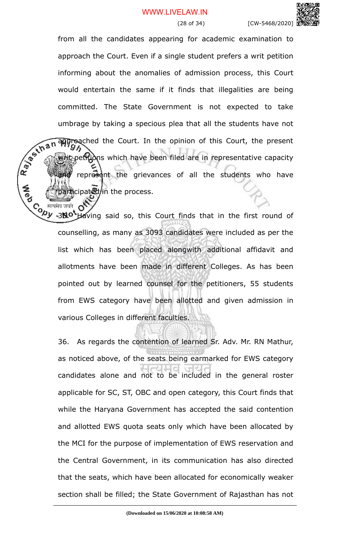from all the candidates appearing for academic examination to approach the Court. Even if a single student prefers a writ petition informing about the anomalies of admission process, this Court would entertain the same if it finds that illegalities are being committed. The State Government is not expected to take umbrage by taking a specious plea that all the students have not<br>  $\frac{1}{2}$   $\frac{1}{2}$   $\frac{1}{2}$   $\frac{1}{2}$   $\frac{1}{2}$   $\frac{1}{2}$   $\frac{1}{2}$   $\frac{1}{2}$   $\frac{1}{2}$   $\frac{1}{2}$   $\frac{1}{2}$   $\frac{1}{2}$   $\frac{1}{2}$   $\frac{1}{2}$   $\frac{1}{2}$   $\frac{1$ approached the Court. In the opinion of this Court, the present the petitions which have been filed are in representative capacity represent the grievances of all the students who have participated/in the process.

 $\delta^{\prime}$ Co सत्यमेव जयते OV<br>Vy <sub>\*3</sub>No<sup>t</sup>Having said so, this Court finds that in the first round of counselling, as many as 3093 candidates were included as per the list which has been placed alongwith additional affidavit and allotments have been made in different Colleges. As has been pointed out by learned counsel for the petitioners, 55 students from EWS category have been allotted and given admission in various Colleges in different faculties.

36. As regards the contention of learned Sr. Adv. Mr. RN Mathur, as noticed above, of the seats being earmarked for EWS category candidates alone and not to be included in the general roster applicable for SC, ST, OBC and open category, this Court finds that while the Haryana Government has accepted the said contention and allotted EWS quota seats only which have been allocated by the MCI for the purpose of implementation of EWS reservation and the Central Government, in its communication has also directed that the seats, which have been allocated for economically weaker section shall be filled; the State Government of Rajasthan has not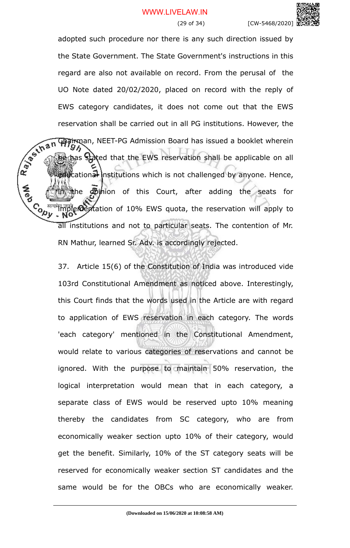adopted such procedure nor there is any such direction issued by the State Government. The State Government's instructions in this regard are also not available on record. From the perusal of the UO Note dated 20/02/2020, placed on record with the reply of EWS category candidates, it does not come out that the EWS reservation shall be carried out in all PG institutions. However, the<br> **RAM HAMMAN**, NEET-PG Admission Board has issued a booklet wherein<br> **RAMMAN Stated that the EWS reservation shall be all the EWS** reservation shall be **Chairman, NEET-PG Admission Board has issued a booklet wherein** he has stated that the EWS reservation shall be applicable on all  $\mathbf{R}$  is a institutions which is not challenged by anyone. Hence, the opinion of this Court, after adding the seats for **CONTROL** implementation of 10% EWS quota, the reservation will apply to all institutions and not to particular seats. The contention of Mr. RN Mathur, learned Sr. Adv. is accordingly rejected.

**A**<br>Po

37. Article 15(6) of the Constitution of India was introduced vide 103rd Constitutional Amendment as noticed above. Interestingly, this Court finds that the words used in the Article are with regard to application of EWS reservation in each category. The words 'each category' mentioned in the Constitutional Amendment, would relate to various categories of reservations and cannot be ignored. With the purpose to maintain 50% reservation, the logical interpretation would mean that in each category, a separate class of EWS would be reserved upto 10% meaning thereby the candidates from SC category, who are from economically weaker section upto 10% of their category, would get the benefit. Similarly, 10% of the ST category seats will be reserved for economically weaker section ST candidates and the same would be for the OBCs who are economically weaker.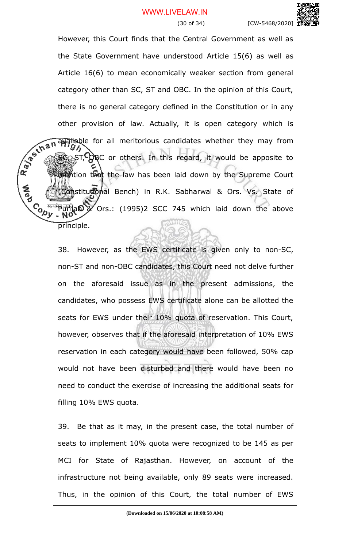

However, this Court finds that the Central Government as well as the State Government have understood Article 15(6) as well as Article 16(6) to mean economically weaker section from general category other than SC, ST and OBC. In the opinion of this Court, there is no general category defined in the Constitution or in any other provision of law. Actually, it is open category which is<br>  $\sqrt{2\pi}$   $\sqrt{2\pi}$   $\sqrt{3\pi}$   $\sqrt{3\pi}$   $\sqrt{3\pi}$   $\sqrt{3\pi}$  of  $\sqrt{3\pi}$  of  $\sqrt{3\pi}$  of  $\sqrt{3\pi}$  of  $\sqrt{3\pi}$  or others. In this regard, it we can be a set available for all meritorious candidates whether they may from  $ST$ ,  $Q$ RC or others. In this regard, it would be apposite to mention that the law has been laid down by the Supreme Court Constitutional Bench) in R.K. Sabharwal & Ors. Vs. State of **Cody** Punjab & Ors.: (1995)2 SCC 745 which laid down the above principle.

**A**<br>Po

38. However, as the EWS certificate is given only to non-SC, non-ST and non-OBC candidates, this Court need not delve further on the aforesaid issue as in the present admissions, the candidates, who possess EWS certificate alone can be allotted the seats for EWS under their 10% quota of reservation. This Court, however, observes that if the aforesaid interpretation of 10% EWS reservation in each category would have been followed, 50% cap would not have been disturbed and there would have been no need to conduct the exercise of increasing the additional seats for filling 10% EWS quota.

39. Be that as it may, in the present case, the total number of seats to implement 10% quota were recognized to be 145 as per MCI for State of Rajasthan. However, on account of the infrastructure not being available, only 89 seats were increased. Thus, in the opinion of this Court, the total number of EWS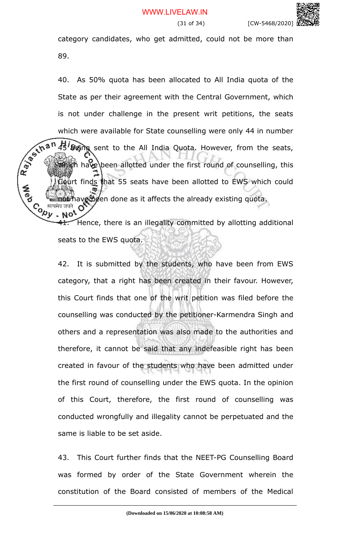category candidates, who get admitted, could not be more than 89.

40. As 50% quota has been allocated to All India quota of the State as per their agreement with the Central Government, which is not under challenge in the present writ petitions, the seats which were available for State counselling were only 44 in number<br>with  $\frac{1}{2}$  which were available for State counselling were only 44 in number<br>with  $\frac{1}{2}$  which have been allotted under the seats of the seats of th 45' Being sent to the All India Quota. However, from the seats,  $\mathbb{W}$  ish have been allotted under the first round of counselling, this Court finds that 55 seats have been allotted to EWS which could **not have been done as it affects the already existing quota.**<br> **Co** *Hearta and*<br> **Co Line Motor**<br> **Co Line Motor** 

**A**<br>Pap

**41.** Hence, there is an illegality committed by allotting additional seats to the EWS quota.

42. It is submitted by the students, who have been from EWS category, that a right has been created in their favour. However, this Court finds that one of the writ petition was filed before the counselling was conducted by the petitioner-Karmendra Singh and others and a representation was also made to the authorities and therefore, it cannot be said that any indefeasible right has been created in favour of the students who have been admitted under the first round of counselling under the EWS quota. In the opinion of this Court, therefore, the first round of counselling was conducted wrongfully and illegality cannot be perpetuated and the same is liable to be set aside.

43. This Court further finds that the NEET-PG Counselling Board was formed by order of the State Government wherein the constitution of the Board consisted of members of the Medical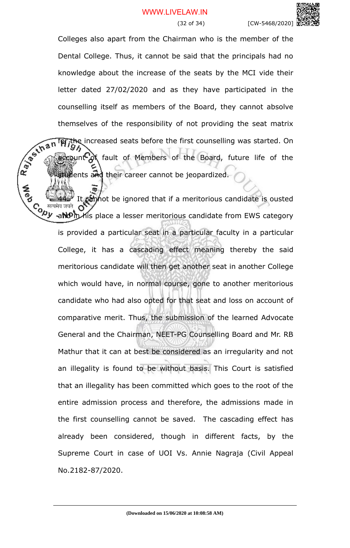Colleges also apart from the Chairman who is the member of the Dental College. Thus, it cannot be said that the principals had no knowledge about the increase of the seats by the MCI vide their letter dated 27/02/2020 and as they have participated in the counselling itself as members of the Board, they cannot absolve themselves of the responsibility of not providing the seat matrix the increased seats before the first counselling was started. On **Qunt Of** fault of Members of the Board, future life of the tweents and their career cannot be jeopardized.

Rayton's

It cannot be ignored that if a meritorious candidate is ousted Co सत्यमेव जयते OV<br> $\overline{Q}$ y <sub>ra</sub>nd<sup>o</sup>n his place a lesser meritorious candidate from EWS category is provided a particular seat in a particular faculty in a particular College, it has a cascading effect meaning thereby the said meritorious candidate will then get another seat in another College which would have, in normal course, gone to another meritorious candidate who had also opted for that seat and loss on account of comparative merit. Thus, the submission of the learned Advocate General and the Chairman, NEET-PG Counselling Board and Mr. RB Mathur that it can at best be considered as an irregularity and not an illegality is found to be without basis. This Court is satisfied that an illegality has been committed which goes to the root of the entire admission process and therefore, the admissions made in the first counselling cannot be saved. The cascading effect has already been considered, though in different facts, by the Supreme Court in case of UOI Vs. Annie Nagraja (Civil Appeal No.2182-87/2020.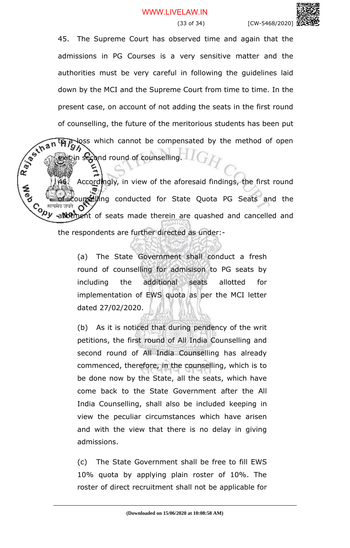

45. The Supreme Court has observed time and again that the admissions in PG Courses is a very sensitive matter and the authorities must be very careful in following the guidelines laid down by the MCI and the Supreme Court from time to time. In the present case, on account of not adding the seats in the first round of counselling, the future of the meritorious students has been put loss which cannot be compensated by the method of open

Rayton's Accordingly, in view of the aforesaid findings, the first round ounselling conducted for State Quota PG Seats and the C<sub>o सत्यमेव जयते</sub> o y<br>Vy allotinent of seats made therein are quashed and cancelled and the respondents are further directed as under:-

in  $\mathbf{s}$  cond round of counselling.

(a) The State Government shall conduct a fresh round of counselling for admisison to PG seats by including the additional seats allotted for implementation of EWS quota as per the MCI letter dated 27/02/2020.

(b) As it is noticed that during pendency of the writ petitions, the first round of All India Counselling and second round of All India Counselling has already commenced, therefore, in the counselling, which is to be done now by the State, all the seats, which have come back to the State Government after the All India Counselling, shall also be included keeping in view the peculiar circumstances which have arisen and with the view that there is no delay in giving admissions.

(c) The State Government shall be free to fill EWS 10% quota by applying plain roster of 10%. The roster of direct recruitment shall not be applicable for